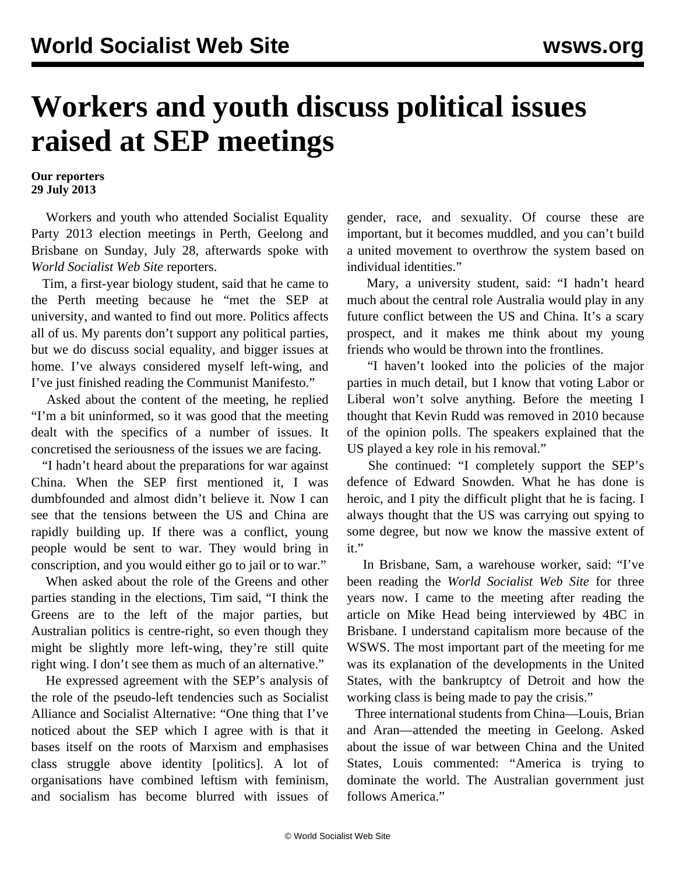## **Workers and youth discuss political issues raised at SEP meetings**

**Our reporters 29 July 2013**

 Workers and youth who attended Socialist Equality Party 2013 [election meetings](/en/articles/2013/07/29/meet-j29.html) in Perth, Geelong and Brisbane on Sunday, July 28, afterwards spoke with *World Socialist Web Site* reporters.

 Tim, a first-year biology student, said that he came to the Perth meeting because he "met the SEP at university, and wanted to find out more. Politics affects all of us. My parents don't support any political parties, but we do discuss social equality, and bigger issues at home. I've always considered myself left-wing, and I've just finished reading the Communist Manifesto."

 Asked about the content of the meeting, he replied "I'm a bit uninformed, so it was good that the meeting dealt with the specifics of a number of issues. It concretised the seriousness of the issues we are facing.

 "I hadn't heard about the preparations for war against China. When the SEP first mentioned it, I was dumbfounded and almost didn't believe it. Now I can see that the tensions between the US and China are rapidly building up. If there was a conflict, young people would be sent to war. They would bring in conscription, and you would either go to jail or to war."

 When asked about the role of the Greens and other parties standing in the elections, Tim said, "I think the Greens are to the left of the major parties, but Australian politics is centre-right, so even though they might be slightly more left-wing, they're still quite right wing. I don't see them as much of an alternative."

 He expressed agreement with the SEP's analysis of the role of the pseudo-left tendencies such as Socialist Alliance and Socialist Alternative: "One thing that I've noticed about the SEP which I agree with is that it bases itself on the roots of Marxism and emphasises class struggle above identity [politics]. A lot of organisations have combined leftism with feminism, and socialism has become blurred with issues of gender, race, and sexuality. Of course these are important, but it becomes muddled, and you can't build a united movement to overthrow the system based on individual identities."

 Mary, a university student, said: "I hadn't heard much about the central role Australia would play in any future conflict between the US and China. It's a scary prospect, and it makes me think about my young friends who would be thrown into the frontlines.

 "I haven't looked into the policies of the major parties in much detail, but I know that voting Labor or Liberal won't solve anything. Before the meeting I thought that Kevin Rudd was removed in 2010 because of the opinion polls. The speakers explained that the US played a key role in his removal."

 She continued: "I completely support the SEP's defence of Edward Snowden. What he has done is heroic, and I pity the difficult plight that he is facing. I always thought that the US was carrying out spying to some degree, but now we know the massive extent of it."

 In Brisbane, Sam, a warehouse worker, said: "I've been reading the *World Socialist Web Site* for three years now. I came to the meeting after reading the article on Mike Head being interviewed by 4BC in Brisbane. I understand capitalism more because of the WSWS. The most important part of the meeting for me was its explanation of the developments in the United States, with the bankruptcy of Detroit and how the working class is being made to pay the crisis."

 Three international students from China—Louis, Brian and Aran—attended the meeting in Geelong. Asked about the issue of war between China and the United States, Louis commented: "America is trying to dominate the world. The Australian government just follows America."